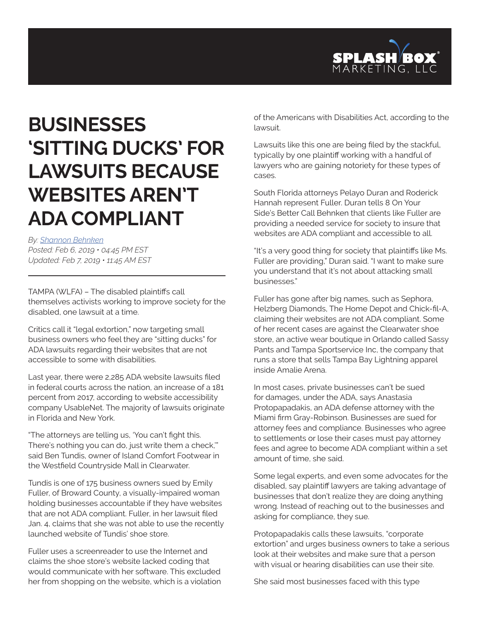

## **BUSINESSES 'SITTING DUCKS' FOR LAWSUITS BECAUSE WEBSITES AREN'T ADA COMPLIANT**

*By: [Shannon Behnken](https://www.wfla.com/author/shannon-behnken/)*

*Posted: Feb 6, 2019 • 04:45 PM EST Updated: Feb 7, 2019 • 11:45 AM EST* 

TAMPA (WLFA) – The disabled plaintiffs call themselves activists working to improve society for the disabled, one lawsuit at a time.

Critics call it "legal extortion," now targeting small business owners who feel they are "sitting ducks" for ADA lawsuits regarding their websites that are not accessible to some with disabilities.

Last year, there were 2,285 ADA website lawsuits filed in federal courts across the nation, an increase of a 181 percent from 2017, according to website accessibility company UsableNet. The majority of lawsuits originate in Florida and New York.

"The attorneys are telling us, 'You can't fight this. There's nothing you can do, just write them a check,'" said Ben Tundis, owner of Island Comfort Footwear in the Westfield Countryside Mall in Clearwater.

Tundis is one of 175 business owners sued by Emily Fuller, of Broward County, a visually-impaired woman holding businesses accountable if they have websites that are not ADA compliant. Fuller, in her lawsuit filed Jan. 4, claims that she was not able to use the recently launched website of Tundis' shoe store.

Fuller uses a screenreader to use the Internet and claims the shoe store's website lacked coding that would communicate with her software. This excluded her from shopping on the website, which is a violation of the Americans with Disabilities Act, according to the lawsuit.

Lawsuits like this one are being filed by the stackful, typically by one plaintiff working with a handful of lawyers who are gaining notoriety for these types of cases.

South Florida attorneys Pelayo Duran and Roderick Hannah represent Fuller. Duran tells 8 On Your Side's Better Call Behnken that clients like Fuller are providing a needed service for society to insure that websites are ADA compliant and accessible to all.

"It's a very good thing for society that plaintiffs like Ms. Fuller are providing," Duran said. "I want to make sure you understand that it's not about attacking small businesses."

Fuller has gone after big names, such as Sephora, Helzberg Diamonds, The Home Depot and Chick-fil-A, claiming their websites are not ADA compliant. Some of her recent cases are against the Clearwater shoe store, an active wear boutique in Orlando called Sassy Pants and Tampa Sportservice Inc, the company that runs a store that sells Tampa Bay Lightning apparel inside Amalie Arena.

In most cases, private businesses can't be sued for damages, under the ADA, says Anastasia Protopapadakis, an ADA defense attorney with the Miami firm Gray-Robinson. Businesses are sued for attorney fees and compliance. Businesses who agree to settlements or lose their cases must pay attorney fees and agree to become ADA compliant within a set amount of time, she said.

Some legal experts, and even some advocates for the disabled, say plaintiff lawyers are taking advantage of businesses that don't realize they are doing anything wrong. Instead of reaching out to the businesses and asking for compliance, they sue.

Protopapadakis calls these lawsuits, "corporate extortion" and urges business owners to take a serious look at their websites and make sure that a person with visual or hearing disabilities can use their site.

She said most businesses faced with this type